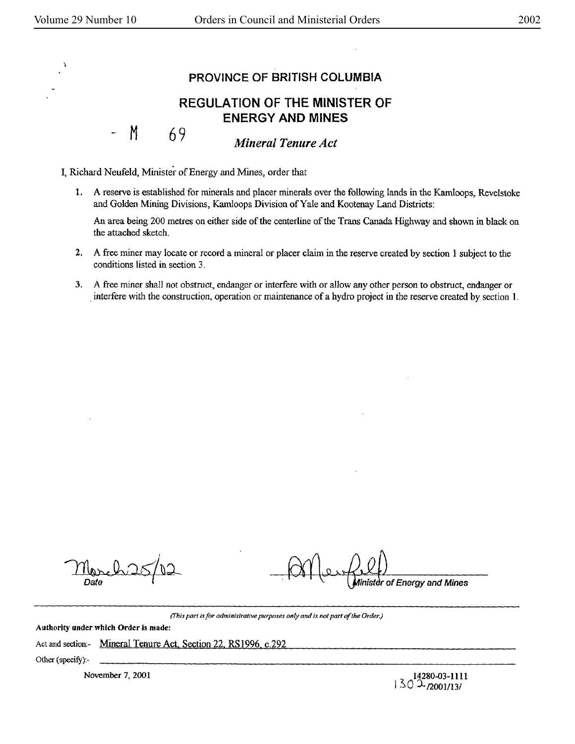## **PROVINCE OF BRITISH COLUMBIA REGULATION OF THE MINISTER OF ENERGY AND MINES**  M 69 *Mineral Tenure Act*  ÷ I. Richard Neufeld, Minister of Energy and Mmes, order that

1. A reserve is established for minerals and placer minerals over the following lands in the Kamloops, Revelstoke and Golden Mining Divisions, Kamloops Division of Yale and Kootenay Land Districts:

An area being 200 metres on either side of the centerline of the Trans Canada Highway and shown in black on the attached sketch.

- **2.** A free miner may locate or record a mineral or placer claim in the reserve created by section I subject to the conditions listed in section 3.
- **3.** A free miner shall not obstruct, endanger or interfere with or allow any other person to obstruct, endanger or . interfere with the construction, operation or maintenance of a hydro project in the reserve created by section I.

Morch 25

of Energy and Mines

*(J'his part is for administrative purposes only and is not part of the Order.)* 

Authority under which Order is made:

Act and section.- Mineral Tenure Act. Section 22, RS1996, c.292

Other (specify):-

November 7, 2001 2 2 14280-03-llll  $1502$   $2001/131$